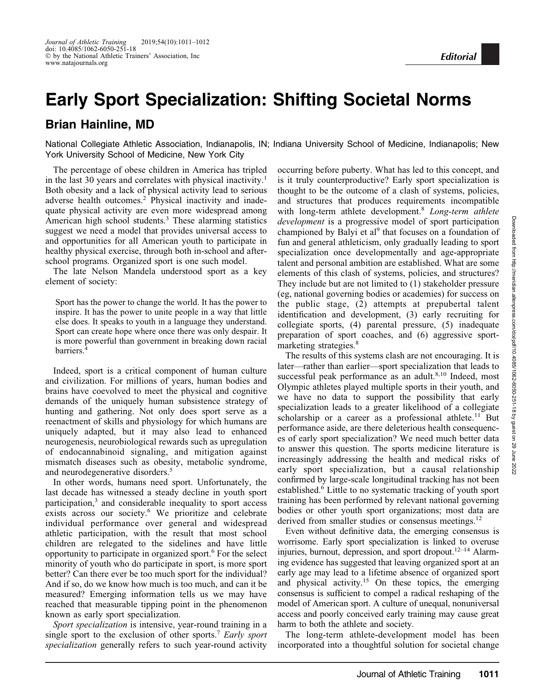## Early Sport Specialization: Shifting Societal Norms

## Brian Hainline, MD

National Collegiate Athletic Association, Indianapolis, IN; Indiana University School of Medicine, Indianapolis; New York University School of Medicine, New York City

The percentage of obese children in America has tripled in the last 30 years and correlates with physical inactivity.<sup>1</sup> Both obesity and a lack of physical activity lead to serious adverse health outcomes.<sup>2</sup> Physical inactivity and inadequate physical activity are even more widespread among American high school students.3 These alarming statistics suggest we need a model that provides universal access to and opportunities for all American youth to participate in healthy physical exercise, through both in-school and afterschool programs. Organized sport is one such model.

The late Nelson Mandela understood sport as a key element of society:

Sport has the power to change the world. It has the power to inspire. It has the power to unite people in a way that little else does. It speaks to youth in a language they understand. Sport can create hope where once there was only despair. It is more powerful than government in breaking down racial barriers.4

Indeed, sport is a critical component of human culture and civilization. For millions of years, human bodies and brains have coevolved to meet the physical and cognitive demands of the uniquely human subsistence strategy of hunting and gathering. Not only does sport serve as a reenactment of skills and physiology for which humans are uniquely adapted, but it may also lead to enhanced neurogenesis, neurobiological rewards such as upregulation of endocannabinoid signaling, and mitigation against mismatch diseases such as obesity, metabolic syndrome, and neurodegenerative disorders.<sup>5</sup>

In other words, humans need sport. Unfortunately, the last decade has witnessed a steady decline in youth sport participation,3 and considerable inequality to sport access exists across our society.<sup>6</sup> We prioritize and celebrate individual performance over general and widespread athletic participation, with the result that most school children are relegated to the sidelines and have little opportunity to participate in organized sport.<sup>6</sup> For the select minority of youth who do participate in sport, is more sport better? Can there ever be too much sport for the individual? And if so, do we know how much is too much, and can it be measured? Emerging information tells us we may have reached that measurable tipping point in the phenomenon known as early sport specialization.

Sport specialization is intensive, year-round training in a single sport to the exclusion of other sports.<sup>7</sup> Early sport specialization generally refers to such year-round activity occurring before puberty. What has led to this concept, and is it truly counterproductive? Early sport specialization is thought to be the outcome of a clash of systems, policies, and structures that produces requirements incompatible with long-term athlete development.<sup>8</sup> Long-term athlete development is a progressive model of sport participation championed by Balyi et  $al^9$  that focuses on a foundation of fun and general athleticism, only gradually leading to sport specialization once developmentally and age-appropriate talent and personal ambition are established. What are some elements of this clash of systems, policies, and structures? They include but are not limited to (1) stakeholder pressure (eg, national governing bodies or academies) for success on the public stage, (2) attempts at prepubertal talent identification and development, (3) early recruiting for collegiate sports, (4) parental pressure, (5) inadequate preparation of sport coaches, and (6) aggressive sportmarketing strategies.<sup>8</sup>

Editorial

The results of this systems clash are not encouraging. It is later—rather than earlier—sport specialization that leads to successful peak performance as an adult. $8,10$  Indeed, most Olympic athletes played multiple sports in their youth, and we have no data to support the possibility that early specialization leads to a greater likelihood of a collegiate scholarship or a career as a professional athlete.<sup>11</sup> But performance aside, are there deleterious health consequences of early sport specialization? We need much better data to answer this question. The sports medicine literature is increasingly addressing the health and medical risks of early sport specialization, but a causal relationship confirmed by large-scale longitudinal tracking has not been established.<sup>6</sup> Little to no systematic tracking of youth sport training has been performed by relevant national governing bodies or other youth sport organizations; most data are derived from smaller studies or consensus meetings.<sup>12</sup>

Even without definitive data, the emerging consensus is worrisome. Early sport specialization is linked to overuse injuries, burnout, depression, and sport dropout.12–14 Alarming evidence has suggested that leaving organized sport at an early age may lead to a lifetime absence of organized sport and physical activity.<sup>15</sup> On these topics, the emerging consensus is sufficient to compel a radical reshaping of the model of American sport. A culture of unequal, nonuniversal access and poorly conceived early training may cause great harm to both the athlete and society.

The long-term athlete-development model has been incorporated into a thoughtful solution for societal change